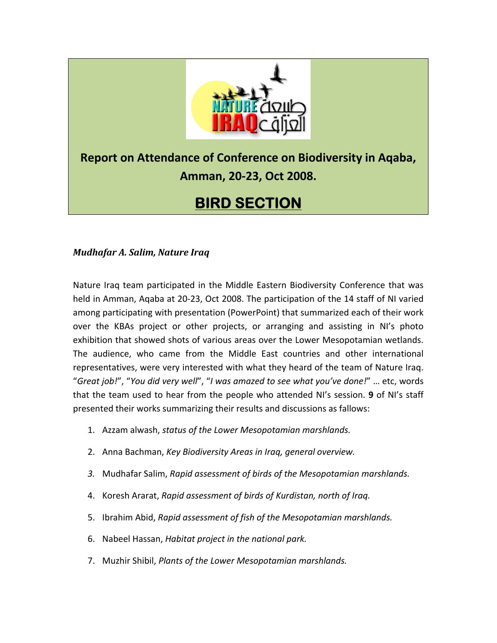

*Mudhafar A. Salim, Nature Iraq*

Nature Iraq team participated in the Middle Eastern Biodiversity Conference that was held in Amman, Aqaba at 20‐23, Oct 2008. The participation of the 14 staff of NI varied among participating with presentation (PowerPoint) that summarized each of their work over the KBAs project or other projects, or arranging and assisting in NI's photo exhibition that showed shots of various areas over the Lower Mesopotamian wetlands. The audience, who came from the Middle East countries and other international representatives, were very interested with what they heard of the team of Nature Iraq. "*Great job!*", "*You did very well*", "*I was amazed to see what you've done!*" … etc, words that the team used to hear from the people who attended NI's session. **9** of NI's staff presented their works summarizing their results and discussions as fallows:

- 1. Azzam alwash, *status of the Lower Mesopotamian marshlands.*
- 2. Anna Bachman, *Key Biodiversity Areas in Iraq, general overview.*
- *3.* Mudhafar Salim, *Rapid assessment of birds of the Mesopotamian marshlands.*
- 4. Koresh Ararat, *Rapid assessment of birds of Kurdistan, north of Iraq.*
- 5. Ibrahim Abid, *Rapid assessment of fish of the Mesopotamian marshlands.*
- 6. Nabeel Hassan, *Habitat project in the national park.*
- 7. Muzhir Shibil, *Plants of the Lower Mesopotamian marshlands.*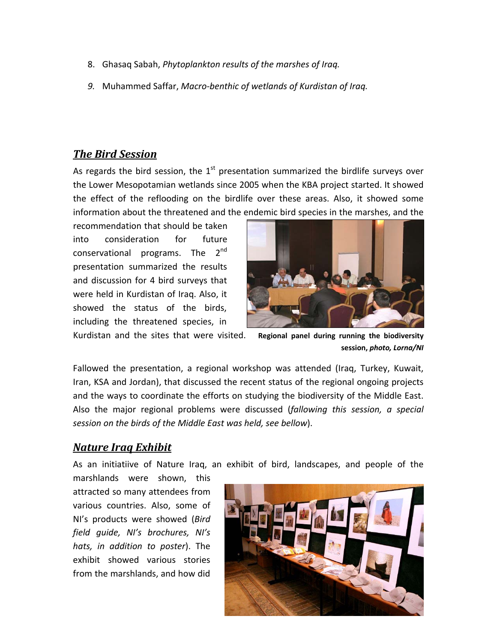- 8. Ghasaq Sabah, *Phytoplankton results of the marshes of Iraq.*
- *9.* Muhammed Saffar, *Macro‐benthic of wetlands of Kurdistan of Iraq.*

## *The Bird Session*

As regards the bird session, the  $1<sup>st</sup>$  presentation summarized the birdlife surveys over the Lower Mesopotamian wetlands since 2005 when the KBA project started. It showed the effect of the reflooding on the birdlife over these areas. Also, it showed some information about the threatened and the endemic bird species in the marshes, and the

recommendation that should be taken into consideration for future conservational programs. The 2<sup>nd</sup> presentation summarized the results and discussion for 4 bird surveys that were held in Kurdistan of Iraq. Also, it showed the status of the birds, including the threatened species, in





**session,** *photo, Lorna/NI*

Fallowed the presentation, a regional workshop was attended (Iraq, Turkey, Kuwait, Iran, KSA and Jordan), that discussed the recent status of the regional ongoing projects and the ways to coordinate the efforts on studying the biodiversity of the Middle East. Also the major regional problems were discussed (*fallowing this session, a special session on the birds of the Middle East was held, see bellow*).

## *Nature Iraq Exhibit*

As an initiatiive of Nature Iraq, an exhibit of bird, landscapes, and people of the

marshlands were shown, this attracted so many attendees from various countries. Also, some of NI's products were showed (*Bird field guide, NI's brochures, NI's hats, in addition to poster*). The exhibit showed various stories from the marshlands, and how did

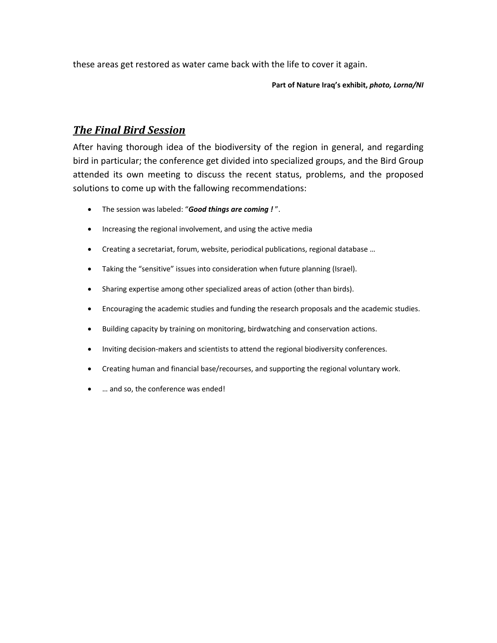these areas get restored as water came back with the life to cover it again.

**Part of Nature Iraq's exhibit,** *photo, Lorna/NI*

## *The Final Bird Session*

After having thorough idea of the biodiversity of the region in general, and regarding bird in particular; the conference get divided into specialized groups, and the Bird Group attended its own meeting to discuss the recent status, problems, and the proposed solutions to come up with the fallowing recommendations:

- The session was labeled: "*Good things are coming !* ".
- Increasing the regional involvement, and using the active media
- Creating a secretariat, forum, website, periodical publications, regional database …
- Taking the "sensitive" issues into consideration when future planning (Israel).
- Sharing expertise among other specialized areas of action (other than birds).
- Encouraging the academic studies and funding the research proposals and the academic studies.
- Building capacity by training on monitoring, birdwatching and conservation actions.
- Inviting decision-makers and scientists to attend the regional biodiversity conferences.
- Creating human and financial base/recourses, and supporting the regional voluntary work.
- ... and so, the conference was ended!